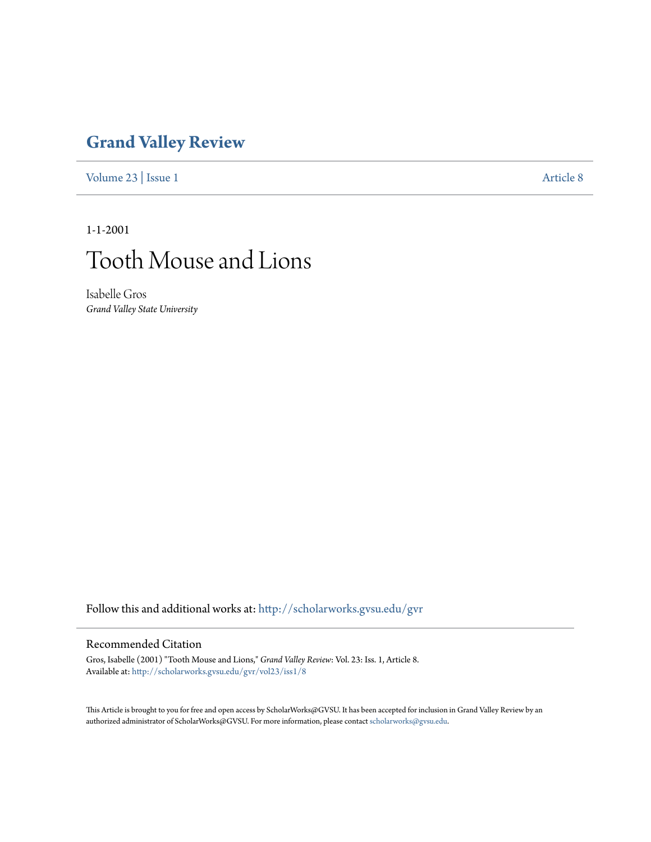## **[Grand Valley Review](http://scholarworks.gvsu.edu/gvr?utm_source=scholarworks.gvsu.edu%2Fgvr%2Fvol23%2Fiss1%2F8&utm_medium=PDF&utm_campaign=PDFCoverPages)**

[Volume 23](http://scholarworks.gvsu.edu/gvr/vol23?utm_source=scholarworks.gvsu.edu%2Fgvr%2Fvol23%2Fiss1%2F8&utm_medium=PDF&utm_campaign=PDFCoverPages) | [Issue 1](http://scholarworks.gvsu.edu/gvr/vol23/iss1?utm_source=scholarworks.gvsu.edu%2Fgvr%2Fvol23%2Fiss1%2F8&utm_medium=PDF&utm_campaign=PDFCoverPages) [Article 8](http://scholarworks.gvsu.edu/gvr/vol23/iss1/8?utm_source=scholarworks.gvsu.edu%2Fgvr%2Fvol23%2Fiss1%2F8&utm_medium=PDF&utm_campaign=PDFCoverPages)

1-1-2001



Isabelle Gros *Grand Valley State University*

Follow this and additional works at: [http://scholarworks.gvsu.edu/gvr](http://scholarworks.gvsu.edu/gvr?utm_source=scholarworks.gvsu.edu%2Fgvr%2Fvol23%2Fiss1%2F8&utm_medium=PDF&utm_campaign=PDFCoverPages)

## Recommended Citation

Gros, Isabelle (2001) "Tooth Mouse and Lions," *Grand Valley Review*: Vol. 23: Iss. 1, Article 8. Available at: [http://scholarworks.gvsu.edu/gvr/vol23/iss1/8](http://scholarworks.gvsu.edu/gvr/vol23/iss1/8?utm_source=scholarworks.gvsu.edu%2Fgvr%2Fvol23%2Fiss1%2F8&utm_medium=PDF&utm_campaign=PDFCoverPages)

This Article is brought to you for free and open access by ScholarWorks@GVSU. It has been accepted for inclusion in Grand Valley Review by an authorized administrator of ScholarWorks@GVSU. For more information, please contact [scholarworks@gvsu.edu.](mailto:scholarworks@gvsu.edu)